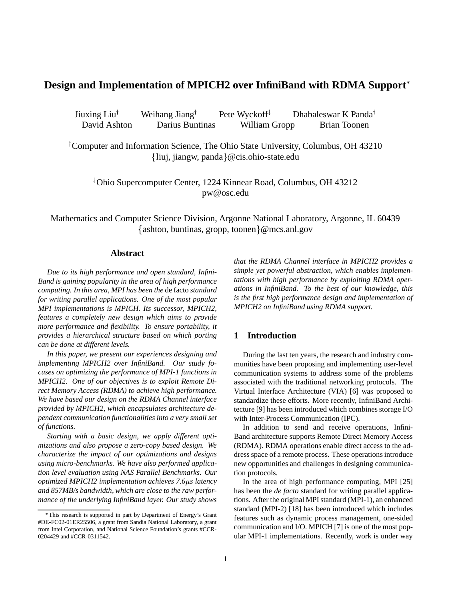# **Design and Implementation of MPICH2 over InfiniBand with RDMA Support**

Jiuxing Liu<sup>†</sup> Weihang Jiang<sup>†</sup> Pete Wyckoff<sup> $\ddagger$ </sup> Dhabaleswar K Panda David Ashton Darius Buntinas William Gropp Brian Toonen

 Computer and Information Science, The Ohio State University, Columbus, OH 43210 liuj, jiangw, panda @cis.ohio-state.edu

- Ohio Supercomputer Center, 1224 Kinnear Road, Columbus, OH 43212 pw@osc.edu

Mathematics and Computer Science Division, Argonne National Laboratory, Argonne, IL 60439 {ashton, buntinas, gropp, toonen}@mcs.anl.gov

#### **Abstract**

*Due to its high performance and open standard, Infini-Band is gaining popularity in the area of high performance computing. In this area, MPI has been the* de facto *standard for writing parallel applications. One of the most popular MPI implementations is MPICH. Its successor, MPICH2, features a completely new design which aims to provide more performance and flexibility. To ensure portability, it provides a hierarchical structure based on which porting can be done at different levels.*

*In this paper, we present our experiences designing and implementing MPICH2 over InfiniBand. Our study focuses on optimizing the performance of MPI-1 functions in MPICH2. One of our objectives is to exploit Remote Direct Memory Access (RDMA) to achieve high performance. We have based our design on the RDMA Channel interface provided by MPICH2, which encapsulates architecture dependent communication functionalities into a very small set of functions.*

*Starting with a basic design, we apply different optimizations and also propose a zero-copy based design. We characterize the impact of our optimizations and designs using micro-benchmarks. We have also performed application level evaluation using NAS Parallel Benchmarks. Our optimized MPICH2 implementation achieves 7.6s latency and 857MB/s bandwidth, which are close to the raw performance of the underlying InfiniBand layer. Our study shows*

*that the RDMA Channel interface in MPICH2 provides a simple yet powerful abstraction, which enables implementations with high performance by exploiting RDMA operations in InfiniBand. To the best of our knowledge, this is the first high performance design and implementation of MPICH2 on InfiniBand using RDMA support.*

# **1 Introduction**

During the last ten years, the research and industry communities have been proposing and implementing user-level communication systems to address some of the problems associated with the traditional networking protocols. The Virtual Interface Architecture (VIA) [6] was proposed to standardize these efforts. More recently, InfiniBand Architecture [9] has been introduced which combines storage I/O with Inter-Process Communication (IPC).

In addition to send and receive operations, Infini-Band architecture supports Remote Direct Memory Access (RDMA). RDMA operations enable direct access to the address space of a remote process. These operations introduce new opportunities and challenges in designing communication protocols.

In the area of high performance computing, MPI [25] has been the *de facto* standard for writing parallel applications. After the original MPI standard (MPI-1), an enhanced standard (MPI-2) [18] has been introduced which includes features such as dynamic process management, one-sided communication and I/O. MPICH [7] is one of the most popular MPI-1 implementations. Recently, work is under way

This research is supported in part by Department of Energy's Grant #DE-FC02-01ER25506, a grant from Sandia National Laboratory, a grant from Intel Corporation, and National Science Foundation's grants #CCR-0204429 and #CCR-0311542.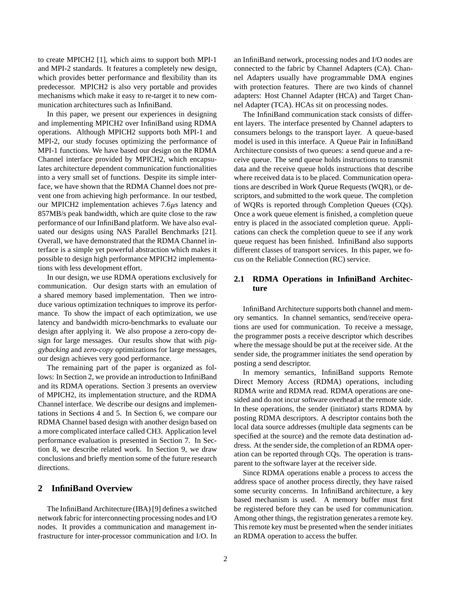to create MPICH2 [1], which aims to support both MPI-1 and MPI-2 standards. It features a completely new design, which provides better performance and flexibility than its predecessor. MPICH2 is also very portable and provides mechanisms which make it easy to re-target it to new communication architectures such as InfiniBand.

In this paper, we present our experiences in designing and implementing MPICH2 over InfiniBand using RDMA operations. Although MPICH2 supports both MPI-1 and MPI-2, our study focuses optimizing the performance of MPI-1 functions. We have based our design on the RDMA Channel interface provided by MPICH2, which encapsulates architecture dependent communication functionalities into a very small set of functions. Despite its simple interface, we have shown that the RDMA Channel does not prevent one from achieving high performance. In our testbed, our MPICH2 implementation achieves  $7.6\mu s$  latency and 857MB/s peak bandwidth, which are quite close to the raw performance of our InfiniBand platform. We have also evaluated our designs using NAS Parallel Benchmarks [21]. Overall, we have demonstrated that the RDMA Channel interface is a simple yet powerful abstraction which makes it possible to design high performance MPICH2 implementations with less development effort.

In our design, we use RDMA operations exclusively for communication. Our design starts with an emulation of a shared memory based implementation. Then we introduce various optimization techniques to improve its performance. To show the impact of each optimization, we use latency and bandwidth micro-benchmarks to evaluate our design after applying it. We also propose a zero-copy design for large messages. Our results show that with *piggybacking* and *zero-copy* optimizations for large messages, our design achieves very good performance.

The remaining part of the paper is organized as follows: In Section 2, we provide an introduction to InfiniBand and its RDMA operations. Section 3 presents an overview of MPICH2, its implementation structure, and the RDMA Channel interface. We describe our designs and implementations in Sections 4 and 5. In Section 6, we compare our RDMA Channel based design with another design based on a more complicated interface called CH3. Application level performance evaluation is presented in Section 7. In Section 8, we describe related work. In Section 9, we draw conclusions and briefly mention some of the future research directions.

# **2 InfiniBand Overview**

The InfiniBand Architecture (IBA) [9] defines a switched network fabric for interconnecting processing nodes and I/O nodes. It provides a communication and management infrastructure for inter-processor communication and I/O. In an InfiniBand network, processing nodes and I/O nodes are connected to the fabric by Channel Adapters (CA). Channel Adapters usually have programmable DMA engines with protection features. There are two kinds of channel adapters: Host Channel Adapter (HCA) and Target Channel Adapter (TCA). HCAs sit on processing nodes.

The InfiniBand communication stack consists of different layers. The interface presented by Channel adapters to consumers belongs to the transport layer. A queue-based model is used in this interface. A Queue Pair in InfiniBand Architecture consists of two queues: a send queue and a receive queue. The send queue holds instructions to transmit data and the receive queue holds instructions that describe where received data is to be placed. Communication operations are described in Work Queue Requests (WQR), or descriptors, and submitted to the work queue. The completion of WQRs is reported through Completion Queues (CQs). Once a work queue element is finished, a completion queue entry is placed in the associated completion queue. Applications can check the completion queue to see if any work queue request has been finished. InfiniBand also supports different classes of transport services. In this paper, we focus on the Reliable Connection (RC) service.

### **2.1 RDMA Operations in InfiniBand Architecture**

InfiniBand Architecture supports both channel and memory semantics. In channel semantics, send/receive operations are used for communication. To receive a message, the programmer posts a receive descriptor which describes where the message should be put at the receiver side. At the sender side, the programmer initiates the send operation by posting a send descriptor.

In memory semantics, InfiniBand supports Remote Direct Memory Access (RDMA) operations, including RDMA write and RDMA read. RDMA operations are onesided and do not incur software overhead at the remote side. In these operations, the sender (initiator) starts RDMA by posting RDMA descriptors. A descriptor contains both the local data source addresses (multiple data segments can be specified at the source) and the remote data destination address. At the sender side, the completion of an RDMA operation can be reported through CQs. The operation is transparent to the software layer at the receiver side.

Since RDMA operations enable a process to access the address space of another process directly, they have raised some security concerns. In InfiniBand architecture, a key based mechanism is used. A memory buffer must first be registered before they can be used for communication. Among other things, the registration generates a remote key. This remote key must be presented when the sender initiates an RDMA operation to access the buffer.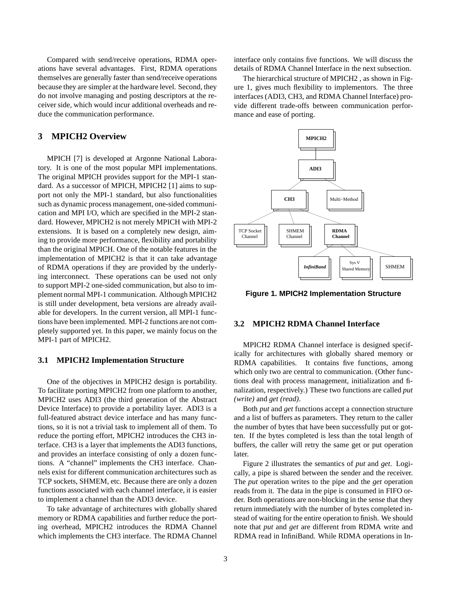Compared with send/receive operations, RDMA operations have several advantages. First, RDMA operations themselves are generally faster than send/receive operations because they are simpler at the hardware level. Second, they do not involve managing and posting descriptors at the receiver side, which would incur additional overheads and reduce the communication performance.

# **3 MPICH2 Overview**

MPICH [7] is developed at Argonne National Laboratory. It is one of the most popular MPI implementations. The original MPICH provides support for the MPI-1 standard. As a successor of MPICH, MPICH2 [1] aims to support not only the MPI-1 standard, but also functionalities such as dynamic process management, one-sided communication and MPI I/O, which are specified in the MPI-2 standard. However, MPICH2 is not merely MPICH with MPI-2 extensions. It is based on a completely new design, aiming to provide more performance, flexibility and portability than the original MPICH. One of the notable features in the implementation of MPICH2 is that it can take advantage of RDMA operations if they are provided by the underlying interconnect. These operations can be used not only to support MPI-2 one-sided communication, but also to implement normal MPI-1 communication. Although MPICH2 is still under development, beta versions are already available for developers. In the current version, all MPI-1 functions have been implemented. MPI-2 functions are not completely supported yet. In this paper, we mainly focus on the MPI-1 part of MPICH2.

### **3.1 MPICH2 Implementation Structure**

One of the objectives in MPICH2 design is portability. To facilitate porting MPICH2 from one platform to another, MPICH2 uses ADI3 (the third generation of the Abstract Device Interface) to provide a portability layer. ADI3 is a full-featured abstract device interface and has many functions, so it is not a trivial task to implement all of them. To reduce the porting effort, MPICH2 introduces the CH3 interface. CH3 is a layer that implements the ADI3 functions, and provides an interface consisting of only a dozen functions. A "channel" implements the CH3 interface. Channels exist for different communication architectures such as TCP sockets, SHMEM, etc. Because there are only a dozen functions associated with each channel interface, it is easier to implement a channel than the ADI3 device.

To take advantage of architectures with globally shared memory or RDMA capabilities and further reduce the porting overhead, MPICH2 introduces the RDMA Channel which implements the CH3 interface. The RDMA Channel interface only contains five functions. We will discuss the details of RDMA Channel Interface in the next subsection.

The hierarchical structure of MPICH2 , as shown in Figure 1, gives much flexibility to implementors. The three interfaces (ADI3, CH3, and RDMA Channel Interface) provide different trade-offs between communication performance and ease of porting.



**Figure 1. MPICH2 Implementation Structure**

### **3.2 MPICH2 RDMA Channel Interface**

MPICH2 RDMA Channel interface is designed specifically for architectures with globally shared memory or RDMA capabilities. It contains five functions, among which only two are central to communication. (Other functions deal with process management, initialization and finalization, respectively.) These two functions are called *put (write)* and *get (read)*.

Both *put* and *get* functions accept a connection structure and a list of buffers as parameters. They return to the caller the number of bytes that have been successfully put or gotten. If the bytes completed is less than the total length of buffers, the caller will retry the same get or put operation later.

Figure 2 illustrates the semantics of *put* and *get*. Logically, a pipe is shared between the sender and the receiver. The *put* operation writes to the pipe and the *get* operation reads from it. The data in the pipe is consumed in FIFO order. Both operations are non-blocking in the sense that they return immediately with the number of bytes completed instead of waiting for the entire operation to finish. We should note that *put* and *get* are different from RDMA write and RDMA read in InfiniBand. While RDMA operations in In-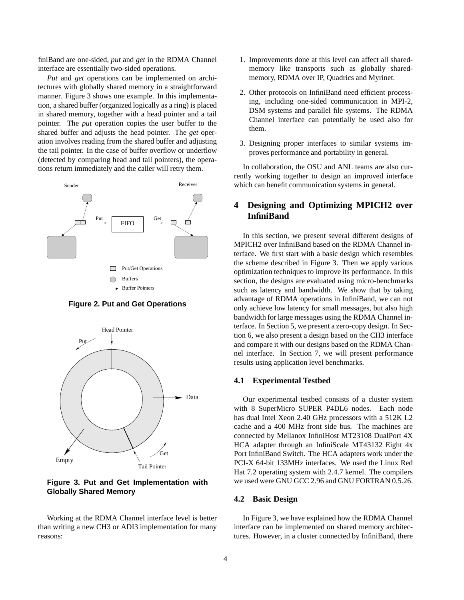finiBand are one-sided, *put* and *get* in the RDMA Channel interface are essentially two-sided operations.

*Put* and *get* operations can be implemented on architectures with globally shared memory in a straightforward manner. Figure 3 shows one example. In this implementation, a shared buffer (organized logically as a ring) is placed in shared memory, together with a head pointer and a tail pointer. The *put* operation copies the user buffer to the shared buffer and adjusts the head pointer. The *get* operation involves reading from the shared buffer and adjusting the tail pointer. In the case of buffer overflow or underflow (detected by comparing head and tail pointers), the operations return immediately and the caller will retry them.



**Figure 2. Put and Get Operations**



**Figure 3. Put and Get Implementation with Globally Shared Memory**

Working at the RDMA Channel interface level is better than writing a new CH3 or ADI3 implementation for many reasons:

- 1. Improvements done at this level can affect all sharedmemory like transports such as globally sharedmemory, RDMA over IP, Quadrics and Myrinet.
- 2. Other protocols on InfiniBand need efficient processing, including one-sided communication in MPI-2, DSM systems and parallel file systems. The RDMA Channel interface can potentially be used also for them.
- 3. Designing proper interfaces to similar systems improves performance and portability in general.

In collaboration, the OSU and ANL teams are also currently working together to design an improved interface which can benefit communication systems in general.

# **4 Designing and Optimizing MPICH2 over InfiniBand**

In this section, we present several different designs of MPICH2 over InfiniBand based on the RDMA Channel interface. We first start with a basic design which resembles the scheme described in Figure 3. Then we apply various optimization techniques to improve its performance. In this section, the designs are evaluated using micro-benchmarks such as latency and bandwidth. We show that by taking advantage of RDMA operations in InfiniBand, we can not only achieve low latency for small messages, but also high bandwidth for large messages using the RDMA Channel interface. In Section 5, we present a zero-copy design. In Section 6, we also present a design based on the CH3 interface and compare it with our designs based on the RDMA Channel interface. In Section 7, we will present performance results using application level benchmarks.

### **4.1 Experimental Testbed**

Our experimental testbed consists of a cluster system with 8 SuperMicro SUPER P4DL6 nodes. Each node has dual Intel Xeon 2.40 GHz processors with a 512K L2 cache and a 400 MHz front side bus. The machines are connected by Mellanox InfiniHost MT23108 DualPort 4X HCA adapter through an InfiniScale MT43132 Eight 4x Port InfiniBand Switch. The HCA adapters work under the PCI-X 64-bit 133MHz interfaces. We used the Linux Red Hat 7.2 operating system with 2.4.7 kernel. The compilers we used were GNU GCC 2.96 and GNU FORTRAN 0.5.26.

### **4.2 Basic Design**

In Figure 3, we have explained how the RDMA Channel interface can be implemented on shared memory architectures. However, in a cluster connected by InfiniBand, there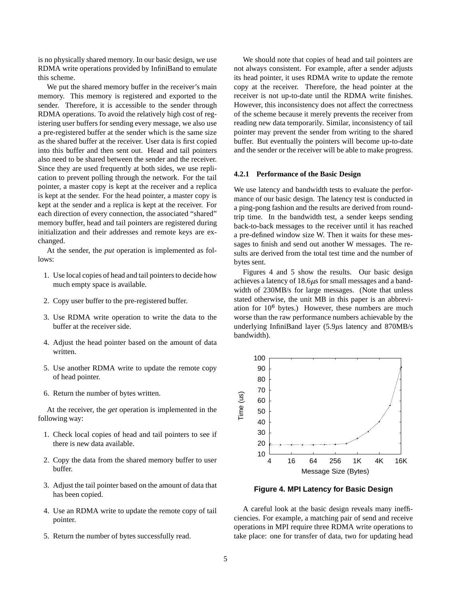is no physically shared memory. In our basic design, we use RDMA write operations provided by InfiniBand to emulate this scheme.

We put the shared memory buffer in the receiver's main memory. This memory is registered and exported to the sender. Therefore, it is accessible to the sender through RDMA operations. To avoid the relatively high cost of registering user buffers for sending every message, we also use a pre-registered buffer at the sender which is the same size as the shared buffer at the receiver. User data is first copied into this buffer and then sent out. Head and tail pointers also need to be shared between the sender and the receiver. Since they are used frequently at both sides, we use replication to prevent polling through the network. For the tail pointer, a master copy is kept at the receiver and a replica is kept at the sender. For the head pointer, a master copy is kept at the sender and a replica is kept at the receiver. For each direction of every connection, the associated "shared" memory buffer, head and tail pointers are registered during initialization and their addresses and remote keys are exchanged.

At the sender, the *put* operation is implemented as follows:

- 1. Use local copies of head and tail pointers to decide how much empty space is available.
- 2. Copy user buffer to the pre-registered buffer.
- 3. Use RDMA write operation to write the data to the buffer at the receiver side.
- 4. Adjust the head pointer based on the amount of data written.
- 5. Use another RDMA write to update the remote copy of head pointer.
- 6. Return the number of bytes written.

At the receiver, the *get* operation is implemented in the following way:

- 1. Check local copies of head and tail pointers to see if there is new data available.
- 2. Copy the data from the shared memory buffer to user buffer.
- 3. Adjust the tail pointer based on the amount of data that has been copied.
- 4. Use an RDMA write to update the remote copy of tail pointer.
- 5. Return the number of bytes successfully read.

We should note that copies of head and tail pointers are not always consistent. For example, after a sender adjusts its head pointer, it uses RDMA write to update the remote copy at the receiver. Therefore, the head pointer at the receiver is not up-to-date until the RDMA write finishes. However, this inconsistency does not affect the correctness of the scheme because it merely prevents the receiver from reading new data temporarily. Similar, inconsistency of tail pointer may prevent the sender from writing to the shared buffer. But eventually the pointers will become up-to-date and the sender or the receiver will be able to make progress.

#### **4.2.1 Performance of the Basic Design**

We use latency and bandwidth tests to evaluate the performance of our basic design. The latency test is conducted in a ping-pong fashion and the results are derived from roundtrip time. In the bandwidth test, a sender keeps sending back-to-back messages to the receiver until it has reached a pre-defined window size W. Then it waits for these messages to finish and send out another W messages. The results are derived from the total test time and the number of bytes sent.

Figures 4 and 5 show the results. Our basic design achieves a latency of  $18.6\mu s$  for small messages and a bandwidth of 230MB/s for large messages. (Note that unless stated otherwise, the unit MB in this paper is an abbreviation for  $10^6$  bytes.) However, these numbers are much worse than the raw performance numbers achievable by the underlying InfiniBand layer  $(5.9\mu s)$  latency and 870MB/s bandwidth).



**Figure 4. MPI Latency for Basic Design**

A careful look at the basic design reveals many inefficiencies. For example, a matching pair of send and receive operations in MPI require three RDMA write operations to take place: one for transfer of data, two for updating head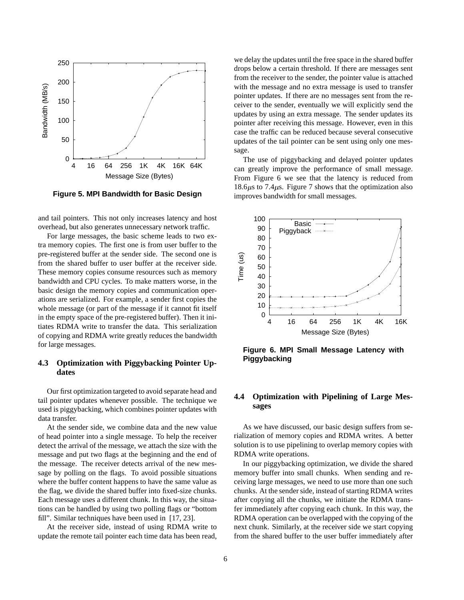

**Figure 5. MPI Bandwidth for Basic Design**

and tail pointers. This not only increases latency and host overhead, but also generates unnecessary network traffic.

For large messages, the basic scheme leads to two extra memory copies. The first one is from user buffer to the pre-registered buffer at the sender side. The second one is from the shared buffer to user buffer at the receiver side. These memory copies consume resources such as memory bandwidth and CPU cycles. To make matters worse, in the basic design the memory copies and communication operations are serialized. For example, a sender first copies the whole message (or part of the message if it cannot fit itself in the empty space of the pre-registered buffer). Then it initiates RDMA write to transfer the data. This serialization of copying and RDMA write greatly reduces the bandwidth for large messages.

### **4.3 Optimization with Piggybacking Pointer Updates**

Our first optimization targeted to avoid separate head and tail pointer updates whenever possible. The technique we used is piggybacking, which combines pointer updates with data transfer.

At the sender side, we combine data and the new value of head pointer into a single message. To help the receiver detect the arrival of the message, we attach the size with the message and put two flags at the beginning and the end of the message. The receiver detects arrival of the new message by polling on the flags. To avoid possible situations where the buffer content happens to have the same value as the flag, we divide the shared buffer into fixed-size chunks. Each message uses a different chunk. In this way, the situations can be handled by using two polling flags or "bottom fill". Similar techniques have been used in [17, 23].

At the receiver side, instead of using RDMA write to update the remote tail pointer each time data has been read, we delay the updates until the free space in the shared buffer drops below a certain threshold. If there are messages sent from the receiver to the sender, the pointer value is attached with the message and no extra message is used to transfer pointer updates. If there are no messages sent from the receiver to the sender, eventually we will explicitly send the updates by using an extra message. The sender updates its pointer after receiving this message. However, even in this case the traffic can be reduced because several consecutive updates of the tail pointer can be sent using only one message.

The use of piggybacking and delayed pointer updates can greatly improve the performance of small message. From Figure 6 we see that the latency is reduced from 18.6 $\mu$ s to 7.4 $\mu$ s. Figure 7 shows that the optimization also improves bandwidth for small messages.



**Figure 6. MPI Small Message Latency with Piggybacking**

### **4.4 Optimization with Pipelining of Large Messages**

As we have discussed, our basic design suffers from serialization of memory copies and RDMA writes. A better solution is to use pipelining to overlap memory copies with RDMA write operations.

In our piggybacking optimization, we divide the shared memory buffer into small chunks. When sending and receiving large messages, we need to use more than one such chunks. At the sender side, instead of starting RDMA writes after copying all the chunks, we initiate the RDMA transfer immediately after copying each chunk. In this way, the RDMA operation can be overlapped with the copying of the next chunk. Similarly, at the receiver side we start copying from the shared buffer to the user buffer immediately after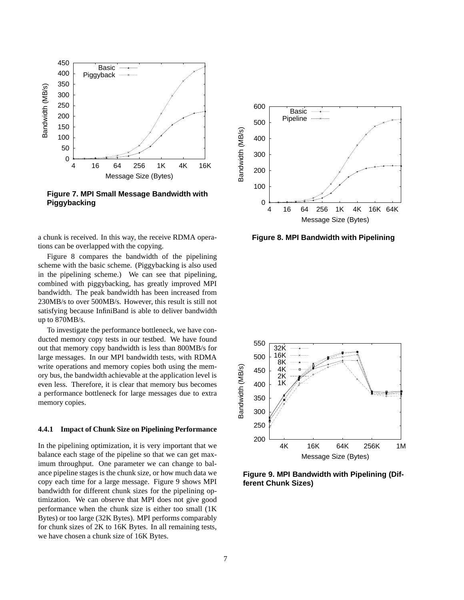

**Figure 7. MPI Small Message Bandwidth with Piggybacking**

a chunk is received. In this way, the receive RDMA operations can be overlapped with the copying.

Figure 8 compares the bandwidth of the pipelining scheme with the basic scheme. (Piggybacking is also used in the pipelining scheme.) We can see that pipelining, combined with piggybacking, has greatly improved MPI bandwidth. The peak bandwidth has been increased from 230MB/s to over 500MB/s. However, this result is still not satisfying because InfiniBand is able to deliver bandwidth up to 870MB/s.

To investigate the performance bottleneck, we have conducted memory copy tests in our testbed. We have found out that memory copy bandwidth is less than 800MB/s for large messages. In our MPI bandwidth tests, with RDMA write operations and memory copies both using the memory bus, the bandwidth achievable at the application level is even less. Therefore, it is clear that memory bus becomes a performance bottleneck for large messages due to extra memory copies.

### **4.4.1 Impact of Chunk Size on Pipelining Performance**

In the pipelining optimization, it is very important that we balance each stage of the pipeline so that we can get maximum throughput. One parameter we can change to balance pipeline stages is the chunk size, or how much data we copy each time for a large message. Figure 9 shows MPI bandwidth for different chunk sizes for the pipelining optimization. We can observe that MPI does not give good performance when the chunk size is either too small (1K Bytes) or too large (32K Bytes). MPI performs comparably for chunk sizes of 2K to 16K Bytes. In all remaining tests, we have chosen a chunk size of 16K Bytes.



**Figure 8. MPI Bandwidth with Pipelining**



**Figure 9. MPI Bandwidth with Pipelining (Different Chunk Sizes)**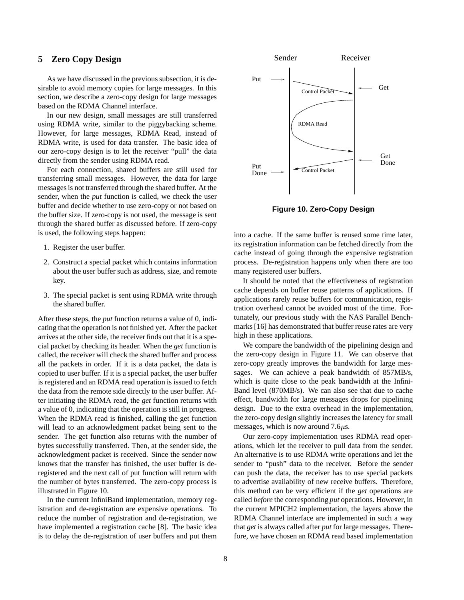### **5 Zero Copy Design**

As we have discussed in the previous subsection, it is desirable to avoid memory copies for large messages. In this section, we describe a zero-copy design for large messages based on the RDMA Channel interface.

In our new design, small messages are still transferred using RDMA write, similar to the piggybacking scheme. However, for large messages, RDMA Read, instead of RDMA write, is used for data transfer. The basic idea of our zero-copy design is to let the receiver "pull" the data directly from the sender using RDMA read.

For each connection, shared buffers are still used for transferring small messages. However, the data for large messages is not transferred through the shared buffer. At the sender, when the *put* function is called, we check the user buffer and decide whether to use zero-copy or not based on the buffer size. If zero-copy is not used, the message is sent through the shared buffer as discussed before. If zero-copy is used, the following steps happen:

- 1. Register the user buffer.
- 2. Construct a special packet which contains information about the user buffer such as address, size, and remote key.
- 3. The special packet is sent using RDMA write through the shared buffer.

After these steps, the *put* function returns a value of 0, indicating that the operation is not finished yet. After the packet arrives at the other side, the receiver finds out that it is a special packet by checking its header. When the *get* function is called, the receiver will check the shared buffer and process all the packets in order. If it is a data packet, the data is copied to user buffer. If it is a special packet, the user buffer is registered and an RDMA read operation is issued to fetch the data from the remote side directly to the user buffer. After initiating the RDMA read, the *get* function returns with a value of 0, indicating that the operation is still in progress. When the RDMA read is finished, calling the get function will lead to an acknowledgment packet being sent to the sender. The get function also returns with the number of bytes successfully transferred. Then, at the sender side, the acknowledgment packet is received. Since the sender now knows that the transfer has finished, the user buffer is deregistered and the next call of put function will return with the number of bytes transferred. The zero-copy process is illustrated in Figure 10.

In the current InfiniBand implementation, memory registration and de-registration are expensive operations. To reduce the number of registration and de-registration, we have implemented a registration cache [8]. The basic idea is to delay the de-registration of user buffers and put them



**Figure 10. Zero-Copy Design**

into a cache. If the same buffer is reused some time later, its registration information can be fetched directly from the cache instead of going through the expensive registration process. De-registration happens only when there are too many registered user buffers.

It should be noted that the effectiveness of registration cache depends on buffer reuse patterns of applications. If applications rarely reuse buffers for communication, registration overhead cannot be avoided most of the time. Fortunately, our previous study with the NAS Parallel Benchmarks [16] has demonstrated that buffer reuse rates are very high in these applications.

We compare the bandwidth of the pipelining design and the zero-copy design in Figure 11. We can observe that zero-copy greatly improves the bandwidth for large messages. We can achieve a peak bandwidth of 857MB/s, which is quite close to the peak bandwidth at the Infini-Band level (870MB/s). We can also see that due to cache effect, bandwidth for large messages drops for pipelining design. Due to the extra overhead in the implementation, the zero-copy design slightly increases the latency for small messages, which is now around  $7.6\mu s$ .

Our zero-copy implementation uses RDMA read operations, which let the receiver to pull data from the sender. An alternative is to use RDMA write operations and let the sender to "push" data to the receiver. Before the sender can push the data, the receiver has to use special packets to advertise availability of new receive buffers. Therefore, this method can be very efficient if the *get* operations are called *before* the corresponding *put* operations. However, in the current MPICH2 implementation, the layers above the RDMA Channel interface are implemented in such a way that *get* is always called after *put* for large messages. Therefore, we have chosen an RDMA read based implementation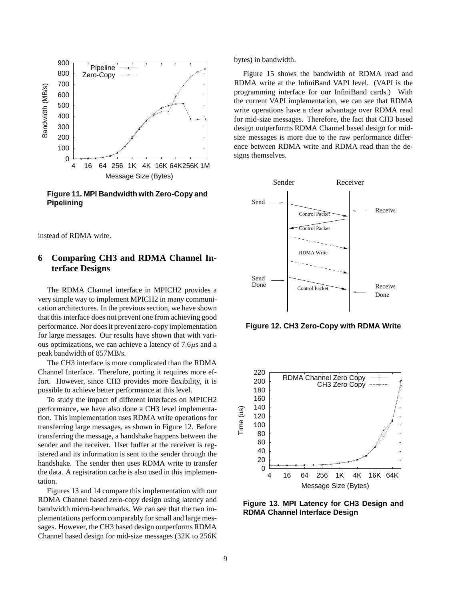

**Figure 11. MPI Bandwidth with Zero-Copy and Pipelining**

instead of RDMA write.

# **6 Comparing CH3 and RDMA Channel Interface Designs**

The RDMA Channel interface in MPICH2 provides a very simple way to implement MPICH2 in many communication architectures. In the previous section, we have shown that this interface does not prevent one from achieving good performance. Nor doesit prevent zero-copy implementation for large messages. Our results have shown that with various optimizations, we can achieve a latency of  $7.6\mu s$  and a peak bandwidth of 857MB/s.

The CH3 interface is more complicated than the RDMA Channel Interface. Therefore, porting it requires more effort. However, since CH3 provides more flexibility, it is possible to achieve better performance at this level.

To study the impact of different interfaces on MPICH2 performance, we have also done a CH3 level implementation. This implementation uses RDMA write operations for transferring large messages, as shown in Figure 12. Before transferring the message, a handshake happens between the sender and the receiver. User buffer at the receiver is registered and its information is sent to the sender through the handshake. The sender then uses RDMA write to transfer the data. A registration cache is also used in this implementation.

Figures 13 and 14 compare this implementation with our RDMA Channel based zero-copy design using latency and bandwidth micro-benchmarks. We can see that the two implementations perform comparably for small and large messages. However, the CH3 based design outperforms RDMA Channel based design for mid-size messages (32K to 256K bytes) in bandwidth.

Figure 15 shows the bandwidth of RDMA read and RDMA write at the InfiniBand VAPI level. (VAPI is the programming interface for our InfiniBand cards.) With the current VAPI implementation, we can see that RDMA write operations have a clear advantage over RDMA read for mid-size messages. Therefore, the fact that CH3 based design outperforms RDMA Channel based design for midsize messages is more due to the raw performance difference between RDMA write and RDMA read than the designs themselves.



**Figure 12. CH3 Zero-Copy with RDMA Write**



**Figure 13. MPI Latency for CH3 Design and RDMA Channel Interface Design**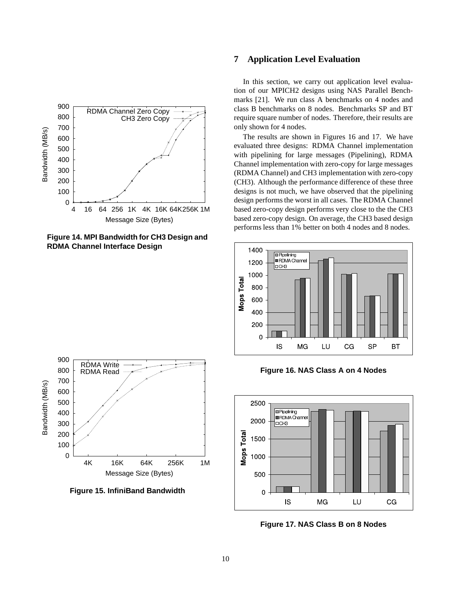

**Figure 14. MPI Bandwidth for CH3 Design and RDMA Channel Interface Design**

# **7 Application Level Evaluation**

In this section, we carry out application level evaluation of our MPICH2 designs using NAS Parallel Benchmarks [21]. We run class A benchmarks on 4 nodes and class B benchmarks on 8 nodes. Benchmarks SP and BT require square number of nodes. Therefore, their results are only shown for 4 nodes.

The results are shown in Figures 16 and 17. We have evaluated three designs: RDMA Channel implementation with pipelining for large messages (Pipelining), RDMA Channel implementation with zero-copy for large messages (RDMA Channel) and CH3 implementation with zero-copy (CH3). Although the performance difference of these three designs is not much, we have observed that the pipelining design performs the worst in all cases. The RDMA Channel based zero-copy design performs very close to the the CH3 based zero-copy design. On average, the CH3 based design performs less than 1% better on both 4 nodes and 8 nodes.



**Figure 16. NAS Class A on 4 Nodes**



**Figure 17. NAS Class B on 8 Nodes**



900

**Figure 15. InfiniBand Bandwidth**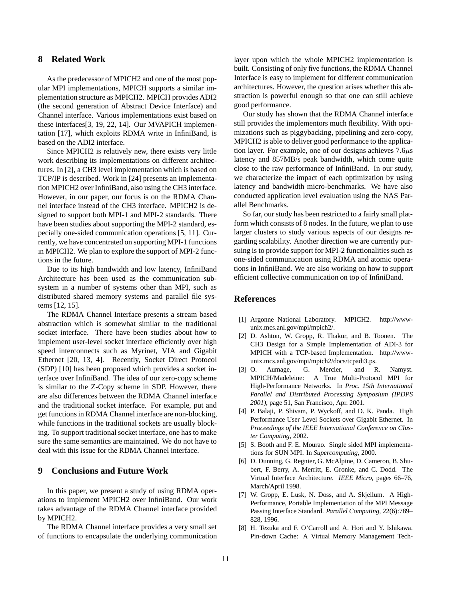### **8 Related Work**

As the predecessor of MPICH2 and one of the most popular MPI implementations, MPICH supports a similar implementation structure as MPICH2. MPICH provides ADI2 (the second generation of Abstract Device Interface) and Channel interface. Various implementations exist based on these interfaces[3, 19, 22, 14]. Our MVAPICH implementation [17], which exploits RDMA write in InfiniBand, is based on the ADI2 interface.

Since MPICH2 is relatively new, there exists very little work describing its implementations on different architectures. In [2], a CH3 level implementation which is based on TCP/IP is described. Work in [24] presents an implementation MPICH2 over InfiniBand, also using the CH3 interface. However, in our paper, our focus is on the RDMA Channel interface instead of the CH3 interface. MPICH2 is designed to support both MPI-1 and MPI-2 standards. There have been studies about supporting the MPI-2 standard, especially one-sided communication operations [5, 11]. Currently, we have concentrated on supporting MPI-1 functions in MPICH2. We plan to explore the support of MPI-2 functions in the future.

Due to its high bandwidth and low latency, InfiniBand Architecture has been used as the communication subsystem in a number of systems other than MPI, such as distributed shared memory systems and parallel file systems [12, 15].

The RDMA Channel Interface presents a stream based abstraction which is somewhat similar to the traditional socket interface. There have been studies about how to implement user-level socket interface efficiently over high speed interconnects such as Myrinet, VIA and Gigabit Ethernet [20, 13, 4]. Recently, Socket Direct Protocol (SDP) [10] has been proposed which provides a socket interface over InfiniBand. The idea of our zero-copy scheme is similar to the Z-Copy scheme in SDP. However, there are also differences between the RDMA Channel interface and the traditional socket interface. For example, put and get functionsin RDMA Channel interface are non-blocking, while functions in the traditional sockets are usually blocking. To support traditional socket interface, one has to make sure the same semantics are maintained. We do not have to deal with this issue for the RDMA Channel interface.

# **9 Conclusions and Future Work**

In this paper, we present a study of using RDMA operations to implement MPICH2 over InfiniBand. Our work takes advantage of the RDMA Channel interface provided by MPICH2.

The RDMA Channel interface provides a very small set of functions to encapsulate the underlying communication layer upon which the whole MPICH2 implementation is built. Consisting of only five functions, the RDMA Channel Interface is easy to implement for different communication architectures. However, the question arises whether this abstraction is powerful enough so that one can still achieve good performance.

Our study has shown that the RDMA Channel interface still provides the implementors much flexibility. With optimizations such as piggybacking, pipelining and zero-copy, MPICH2 is able to deliver good performance to the application layer. For example, one of our designs achieves  $7.6\mu s$ latency and 857MB/s peak bandwidth, which come quite close to the raw performance of InfiniBand. In our study, we characterize the impact of each optimization by using latency and bandwidth micro-benchmarks. We have also conducted application level evaluation using the NAS Parallel Benchmarks.

So far, our study has been restricted to a fairly small platform which consists of 8 nodes. In the future, we plan to use larger clusters to study various aspects of our designs regarding scalability. Another direction we are currently pursuing is to provide support for MPI-2 functionalities such as one-sided communication using RDMA and atomic operations in InfiniBand. We are also working on how to support efficient collective communication on top of InfiniBand.

# **References**

- [1] Argonne National Laboratory. MPICH2. http://wwwunix.mcs.anl.gov/mpi/mpich2/.
- [2] D. Ashton, W. Gropp, R. Thakur, and B. Toonen. The CH3 Design for a Simple Implementation of ADI-3 for MPICH with a TCP-based Implementation. http://wwwunix.mcs.anl.gov/mpi/mpich2/docs/tcpadi3.ps.
- [3] O. Aumage, G. Mercier, and R. Namyst. MPICH/Madeleine: A True Multi-Protocol MPI for High-Performance Networks. In *Proc. 15th International Parallel and Distributed Processing Symposium (IPDPS 2001)*, page 51, San Francisco, Apr. 2001.
- [4] P. Balaji, P. Shivam, P. Wyckoff, and D. K. Panda. High Performance User Level Sockets over Gigabit Ethernet. In *Proceedings of the IEEE International Conference on Cluster Computing*, 2002.
- [5] S. Booth and F. E. Mourao. Single sided MPI implementations for SUN MPI. In *Supercomputing*, 2000.
- [6] D. Dunning, G. Regnier, G. McAlpine, D. Cameron, B. Shubert, F. Berry, A. Merritt, E. Gronke, and C. Dodd. The Virtual Interface Architecture. *IEEE Micro*, pages 66–76, March/April 1998.
- [7] W. Gropp, E. Lusk, N. Doss, and A. Skjellum. A High-Performance, Portable Implementation of the MPI Message Passing Interface Standard. *Parallel Computing*, 22(6):789– 828, 1996.
- [8] H. Tezuka and F. O'Carroll and A. Hori and Y. Ishikawa. Pin-down Cache: A Virtual Memory Management Tech-